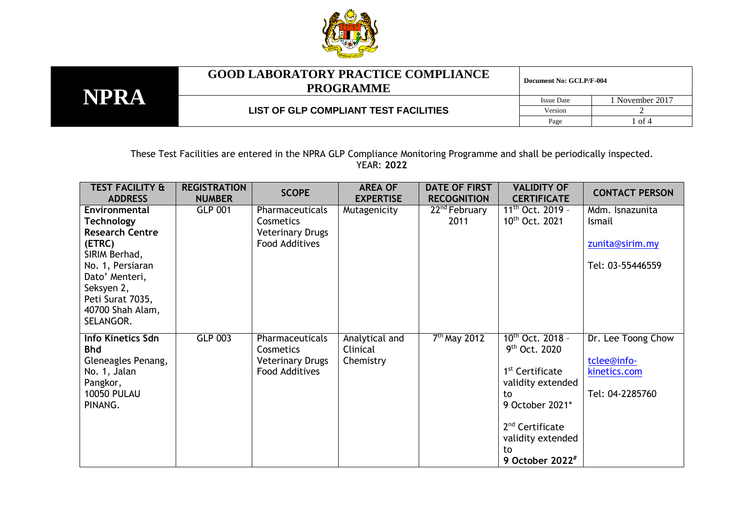

**NPRA**

## **GOOD LABORATORY PRACTICE COMPLIANCE PROGRAMME**

**Document No: GCLP/F-004**

**LIST OF GLP COMPLIANT TEST FACILITIES**

Issue Date 1 November 2017 Version 2 Page 1 of 4

These Test Facilities are entered in the NPRA GLP Compliance Monitoring Programme and shall be periodically inspected. YEAR: **2022**

| <b>TEST FACILITY &amp;</b><br><b>ADDRESS</b>                                                                                                                                                     | <b>REGISTRATION</b><br><b>NUMBER</b> | <b>SCOPE</b>                                                              | <b>AREA OF</b><br><b>EXPERTISE</b>      | <b>DATE OF FIRST</b><br><b>RECOGNITION</b> | <b>VALIDITY OF</b><br><b>CERTIFICATE</b>                                                                                                                                                                     | <b>CONTACT PERSON</b>                                                |
|--------------------------------------------------------------------------------------------------------------------------------------------------------------------------------------------------|--------------------------------------|---------------------------------------------------------------------------|-----------------------------------------|--------------------------------------------|--------------------------------------------------------------------------------------------------------------------------------------------------------------------------------------------------------------|----------------------------------------------------------------------|
| Environmental<br><b>Technology</b><br><b>Research Centre</b><br>(ETRC)<br>SIRIM Berhad,<br>No. 1, Persiaran<br>Dato' Menteri,<br>Seksyen 2,<br>Peti Surat 7035,<br>40700 Shah Alam,<br>SELANGOR. | <b>GLP 001</b>                       | Pharmaceuticals<br>Cosmetics<br><b>Veterinary Drugs</b><br>Food Additives | Mutagenicity                            | $22nd$ February<br>2011                    | $11^{th}$ Oct. 2019 -<br>10 <sup>th</sup> Oct. 2021                                                                                                                                                          | Mdm. Isnazunita<br>Ismail<br>zunita@sirim.my<br>Tel: 03-55446559     |
| Info Kinetics Sdn<br><b>Bhd</b><br>Gleneagles Penang,<br>No. 1, Jalan<br>Pangkor,<br><b>10050 PULAU</b><br>PINANG.                                                                               | <b>GLP 003</b>                       | Pharmaceuticals<br>Cosmetics<br><b>Veterinary Drugs</b><br>Food Additives | Analytical and<br>Clinical<br>Chemistry | $7th$ May 2012                             | $10^{th}$ Oct. 2018 -<br>9 <sup>th</sup> Oct. 2020<br>1 <sup>st</sup> Certificate<br>validity extended<br>to<br>9 October 2021*<br>2 <sup>nd</sup> Certificate<br>validity extended<br>to<br>9 October 2022# | Dr. Lee Toong Chow<br>tclee@info-<br>kinetics.com<br>Tel: 04-2285760 |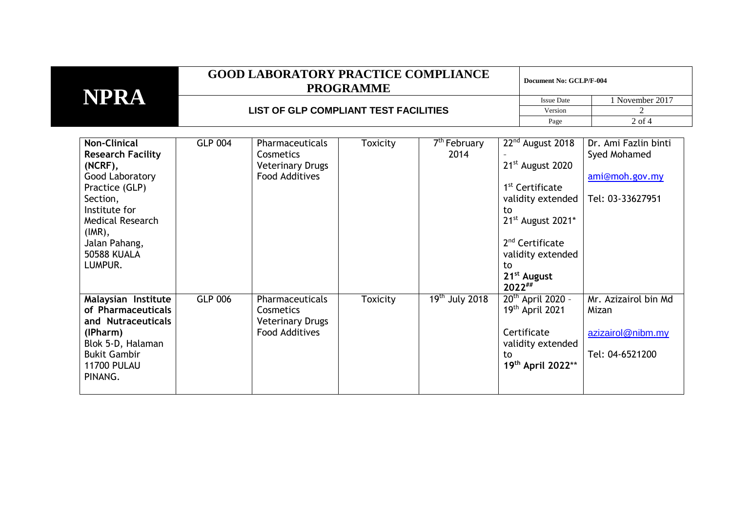|                                                                                                                                                                                                                           | <b>GOOD LABORATORY PRACTICE COMPLIANCE</b><br><b>PROGRAMME</b> |                                                                                  |                 |                                  |                                                    | Document No: GCLP/F-004                                                                                                                                                                   |                                                                            |  |
|---------------------------------------------------------------------------------------------------------------------------------------------------------------------------------------------------------------------------|----------------------------------------------------------------|----------------------------------------------------------------------------------|-----------------|----------------------------------|----------------------------------------------------|-------------------------------------------------------------------------------------------------------------------------------------------------------------------------------------------|----------------------------------------------------------------------------|--|
| <b>NPRA</b>                                                                                                                                                                                                               |                                                                |                                                                                  |                 |                                  |                                                    | <b>Issue Date</b>                                                                                                                                                                         | 1 November 2017                                                            |  |
|                                                                                                                                                                                                                           | LIST OF GLP COMPLIANT TEST FACILITIES                          |                                                                                  |                 |                                  | Version                                            | $\mathfrak{D}$                                                                                                                                                                            |                                                                            |  |
|                                                                                                                                                                                                                           |                                                                |                                                                                  |                 |                                  |                                                    | Page                                                                                                                                                                                      | $2$ of $4$                                                                 |  |
| <b>Non-Clinical</b><br><b>Research Facility</b><br>$(NCRF)$ ,<br>Good Laboratory<br>Practice (GLP)<br>Section,<br>Institute for<br><b>Medical Research</b><br>$(IMR)$ ,<br>Jalan Pahang,<br><b>50588 KUALA</b><br>LUMPUR. | <b>GLP 004</b>                                                 | Pharmaceuticals<br>Cosmetics<br><b>Veterinary Drugs</b><br><b>Food Additives</b> | <b>Toxicity</b> | 7 <sup>th</sup> February<br>2014 | to<br>to<br>21 <sup>st</sup> August<br>$2022^{##}$ | 22 <sup>nd</sup> August 2018<br>21 <sup>st</sup> August 2020<br>1 <sup>st</sup> Certificate<br>validity extended<br>21st August 2021*<br>2 <sup>nd</sup> Certificate<br>validity extended | Dr. Ami Fazlin binti<br>Syed Mohamed<br>ami@moh.gov.my<br>Tel: 03-33627951 |  |
| Malaysian Institute<br>of Pharmaceuticals<br>and Nutraceuticals<br>(IPharm)<br>Blok 5-D, Halaman<br><b>Bukit Gambir</b><br><b>11700 PULAU</b><br>PINANG.                                                                  | <b>GLP 006</b>                                                 | Pharmaceuticals<br>Cosmetics<br><b>Veterinary Drugs</b><br><b>Food Additives</b> | <b>Toxicity</b> | $19th$ July 2018                 | Certificate<br>to                                  | $20th$ April 2020 -<br>19th April 2021<br>validity extended<br>19th April 2022**                                                                                                          | Mr. Azizairol bin Md<br>Mizan<br>azizairol@nibm.my<br>Tel: 04-6521200      |  |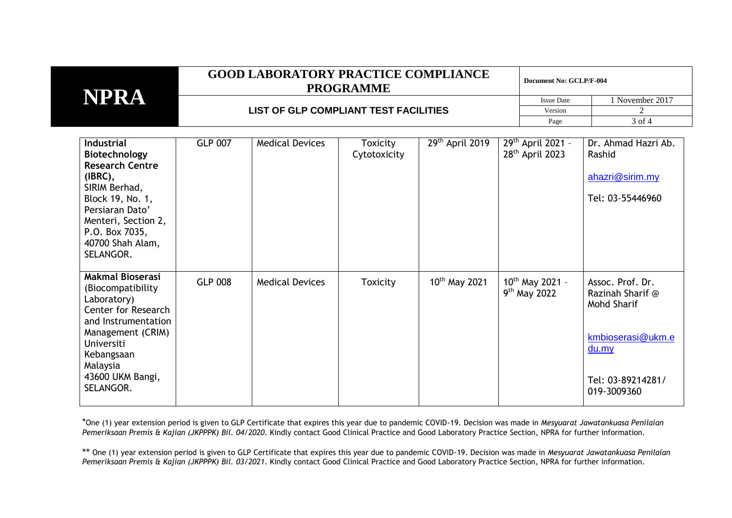| NPRA | <b>GOOD LABORATORY PRACTICE COMPLIANCE</b><br><b>PROGRAMME</b> | Document No: GCLP/F-004 |               |  |
|------|----------------------------------------------------------------|-------------------------|---------------|--|
|      |                                                                | <b>Issue Date</b>       | November 2017 |  |
|      | LIST OF GLP COMPLIANT TEST FACILITIES                          | Version                 |               |  |
|      |                                                                | Page                    | 3 of 4        |  |

| <b>Industrial</b><br><b>Biotechnology</b><br><b>Research Centre</b><br>$(IBRC)$ ,<br>SIRIM Berhad,<br>Block 19, No. 1,<br>Persiaran Dato'<br>Menteri, Section 2,<br>P.O. Box 7035,<br>40700 Shah Alam,<br>SELANGOR. | <b>GLP 007</b> | <b>Medical Devices</b> | <b>Toxicity</b><br>Cytotoxicity | 29th April 2019    | 29 <sup>th</sup> April 2021 -<br>28 <sup>th</sup> April 2023 | Dr. Ahmad Hazri Ab.<br>Rashid<br>ahazri@sirim.my<br>Tel: 03-55446960                                                  |
|---------------------------------------------------------------------------------------------------------------------------------------------------------------------------------------------------------------------|----------------|------------------------|---------------------------------|--------------------|--------------------------------------------------------------|-----------------------------------------------------------------------------------------------------------------------|
| <b>Makmal Bioserasi</b><br>(Biocompatibility)<br>Laboratory)<br>Center for Research<br>and Instrumentation<br>Management (CRIM)<br>Universiti<br>Kebangsaan<br>Malaysia<br>43600 UKM Bangi,<br>SELANGOR.            | <b>GLP 008</b> | <b>Medical Devices</b> | Toxicity                        | $10^{th}$ May 2021 | $10^{th}$ May 2021 -<br>$9th$ May 2022                       | Assoc. Prof. Dr.<br>Razinah Sharif @<br>Mohd Sharif<br>kmbioserasi@ukm.e<br>du.my<br>Tel: 03-89214281/<br>019-3009360 |

\*One (1) year extension period is given to GLP Certificate that expires this year due to pandemic COVID-19. Decision was made in *Mesyuarat Jawatankuasa Penilaian Pemeriksaan Premis & Kajian (JKPPPK) Bil. 04/2020*. Kindly contact Good Clinical Practice and Good Laboratory Practice Section, NPRA for further information.

\*\* One (1) year extension period is given to GLP Certificate that expires this year due to pandemic COVID-19. Decision was made in *Mesyuarat Jawatankuasa Penilaian Pemeriksaan Premis & Kajian (JKPPPK) Bil. 03/2021*. Kindly contact Good Clinical Practice and Good Laboratory Practice Section, NPRA for further information.